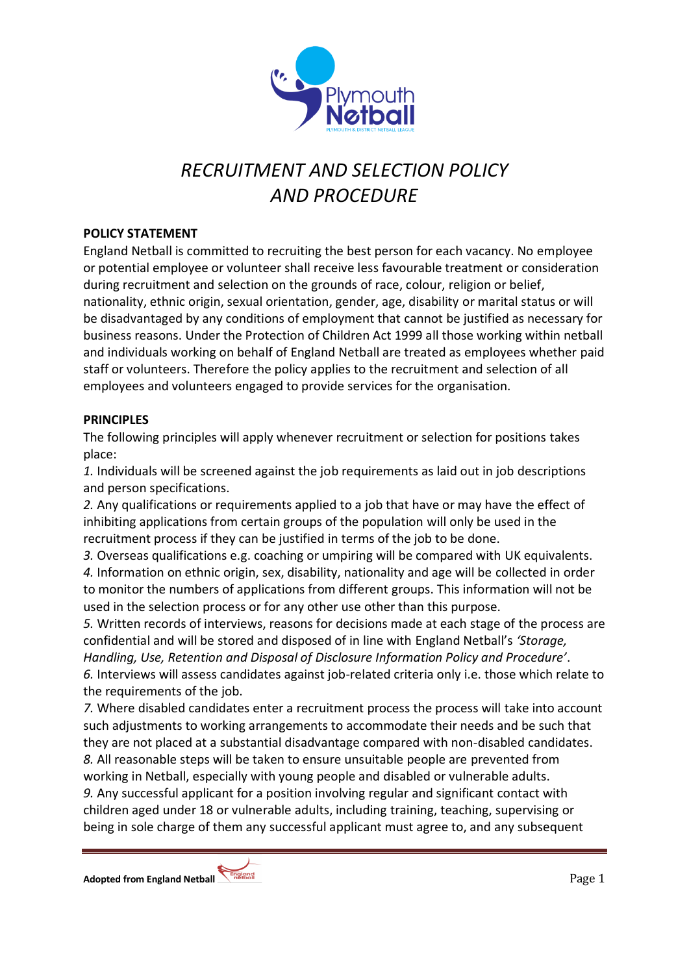

# *RECRUITMENT AND SELECTION POLICY AND PROCEDURE*

## **POLICY STATEMENT**

England Netball is committed to recruiting the best person for each vacancy. No employee or potential employee or volunteer shall receive less favourable treatment or consideration during recruitment and selection on the grounds of race, colour, religion or belief, nationality, ethnic origin, sexual orientation, gender, age, disability or marital status or will be disadvantaged by any conditions of employment that cannot be justified as necessary for business reasons. Under the Protection of Children Act 1999 all those working within netball and individuals working on behalf of England Netball are treated as employees whether paid staff or volunteers. Therefore the policy applies to the recruitment and selection of all employees and volunteers engaged to provide services for the organisation.

#### **PRINCIPLES**

The following principles will apply whenever recruitment or selection for positions takes place:

*1.* Individuals will be screened against the job requirements as laid out in job descriptions and person specifications.

*2.* Any qualifications or requirements applied to a job that have or may have the effect of inhibiting applications from certain groups of the population will only be used in the recruitment process if they can be justified in terms of the job to be done.

*3.* Overseas qualifications e.g. coaching or umpiring will be compared with UK equivalents. *4.* Information on ethnic origin, sex, disability, nationality and age will be collected in order to monitor the numbers of applications from different groups. This information will not be used in the selection process or for any other use other than this purpose.

*5.* Written records of interviews, reasons for decisions made at each stage of the process are confidential and will be stored and disposed of in line with England Netball's *'Storage,* 

*Handling, Use, Retention and Disposal of Disclosure Information Policy and Procedure'*. *6.* Interviews will assess candidates against job-related criteria only i.e. those which relate to the requirements of the job.

*7.* Where disabled candidates enter a recruitment process the process will take into account such adjustments to working arrangements to accommodate their needs and be such that they are not placed at a substantial disadvantage compared with non-disabled candidates.

*8.* All reasonable steps will be taken to ensure unsuitable people are prevented from working in Netball, especially with young people and disabled or vulnerable adults.

*9.* Any successful applicant for a position involving regular and significant contact with children aged under 18 or vulnerable adults, including training, teaching, supervising or being in sole charge of them any successful applicant must agree to, and any subsequent

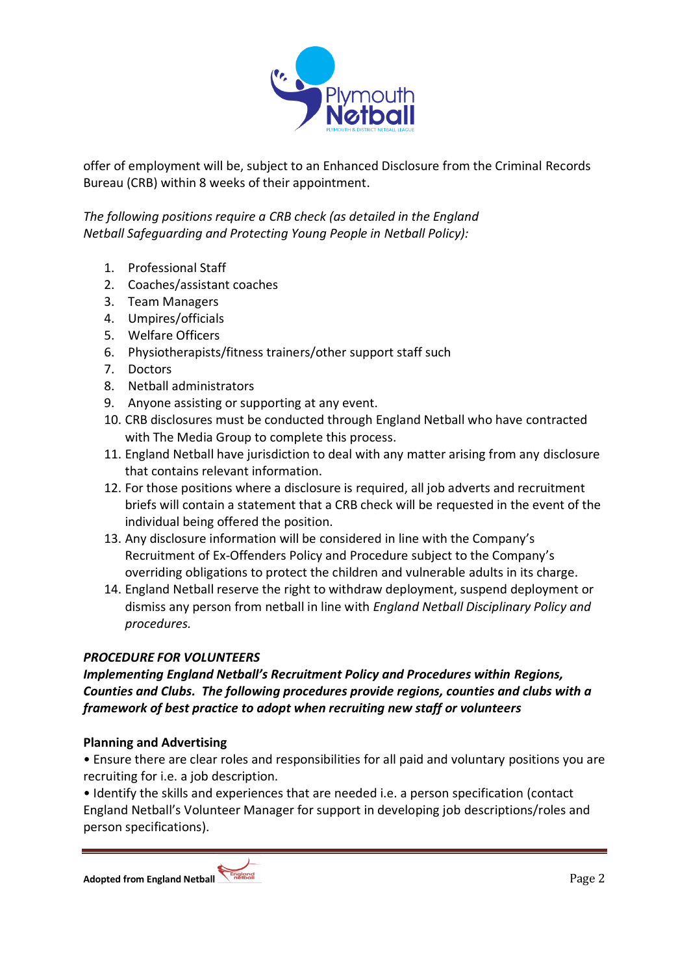

offer of employment will be, subject to an Enhanced Disclosure from the Criminal Records Bureau (CRB) within 8 weeks of their appointment.

*The following positions require a CRB check (as detailed in the England Netball Safeguarding and Protecting Young People in Netball Policy):*

- 1. Professional Staff
- 2. Coaches/assistant coaches
- 3. Team Managers
- 4. Umpires/officials
- 5. Welfare Officers
- 6. Physiotherapists/fitness trainers/other support staff such
- 7. Doctors
- 8. Netball administrators
- 9. Anyone assisting or supporting at any event.
- 10. CRB disclosures must be conducted through England Netball who have contracted with The Media Group to complete this process.
- 11. England Netball have jurisdiction to deal with any matter arising from any disclosure that contains relevant information.
- 12. For those positions where a disclosure is required, all job adverts and recruitment briefs will contain a statement that a CRB check will be requested in the event of the individual being offered the position.
- 13. Any disclosure information will be considered in line with the Company's Recruitment of Ex-Offenders Policy and Procedure subject to the Company's overriding obligations to protect the children and vulnerable adults in its charge.
- 14. England Netball reserve the right to withdraw deployment, suspend deployment or dismiss any person from netball in line with *England Netball Disciplinary Policy and procedures.*

# *PROCEDURE FOR VOLUNTEERS*

*Implementing England Netball's Recruitment Policy and Procedures within Regions, Counties and Clubs. The following procedures provide regions, counties and clubs with a framework of best practice to adopt when recruiting new staff or volunteers*

# **Planning and Advertising**

• Ensure there are clear roles and responsibilities for all paid and voluntary positions you are recruiting for i.e. a job description.

• Identify the skills and experiences that are needed i.e. a person specification (contact England Netball's Volunteer Manager for support in developing job descriptions/roles and person specifications).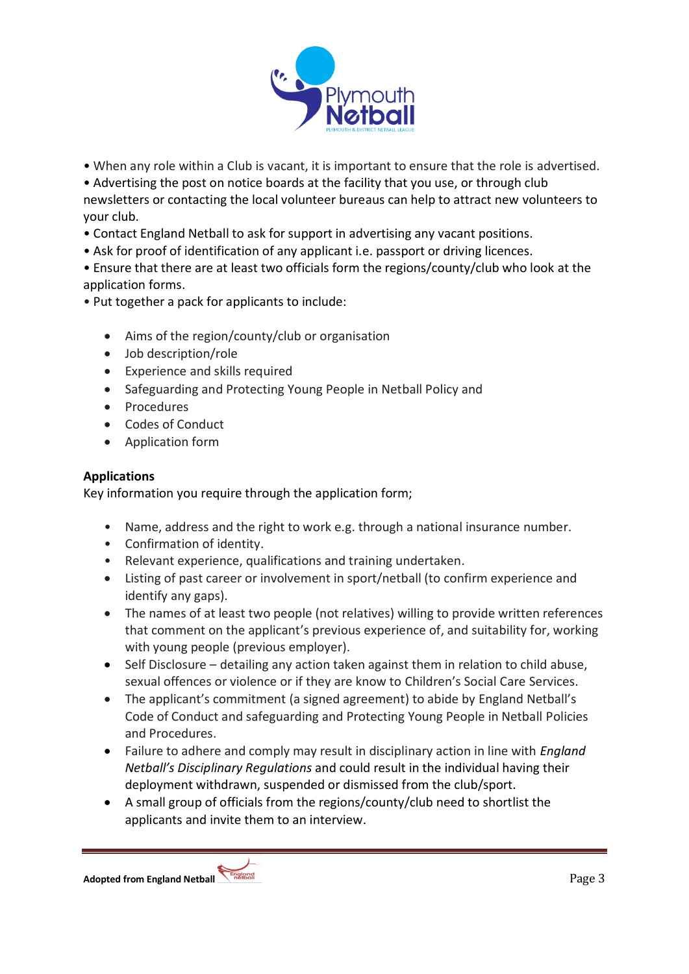

• When any role within a Club is vacant, it is important to ensure that the role is advertised.

• Advertising the post on notice boards at the facility that you use, or through club

newsletters or contacting the local volunteer bureaus can help to attract new volunteers to your club.

- Contact England Netball to ask for support in advertising any vacant positions.
- Ask for proof of identification of any applicant i.e. passport or driving licences.

• Ensure that there are at least two officials form the regions/county/club who look at the application forms.

- Put together a pack for applicants to include:
	- Aims of the region/county/club or organisation
	- Job description/role
	- Experience and skills required
	- Safeguarding and Protecting Young People in Netball Policy and
	- Procedures
	- Codes of Conduct
	- Application form

# **Applications**

Key information you require through the application form;

- Name, address and the right to work e.g. through a national insurance number.
- Confirmation of identity.
- Relevant experience, qualifications and training undertaken.
- Listing of past career or involvement in sport/netball (to confirm experience and identify any gaps).
- The names of at least two people (not relatives) willing to provide written references that comment on the applicant's previous experience of, and suitability for, working with young people (previous employer).
- Self Disclosure detailing any action taken against them in relation to child abuse, sexual offences or violence or if they are know to Children's Social Care Services.
- The applicant's commitment (a signed agreement) to abide by England Netball's Code of Conduct and safeguarding and Protecting Young People in Netball Policies and Procedures.
- Failure to adhere and comply may result in disciplinary action in line with *England Netball's Disciplinary Regulations* and could result in the individual having their deployment withdrawn, suspended or dismissed from the club/sport.
- A small group of officials from the regions/county/club need to shortlist the applicants and invite them to an interview.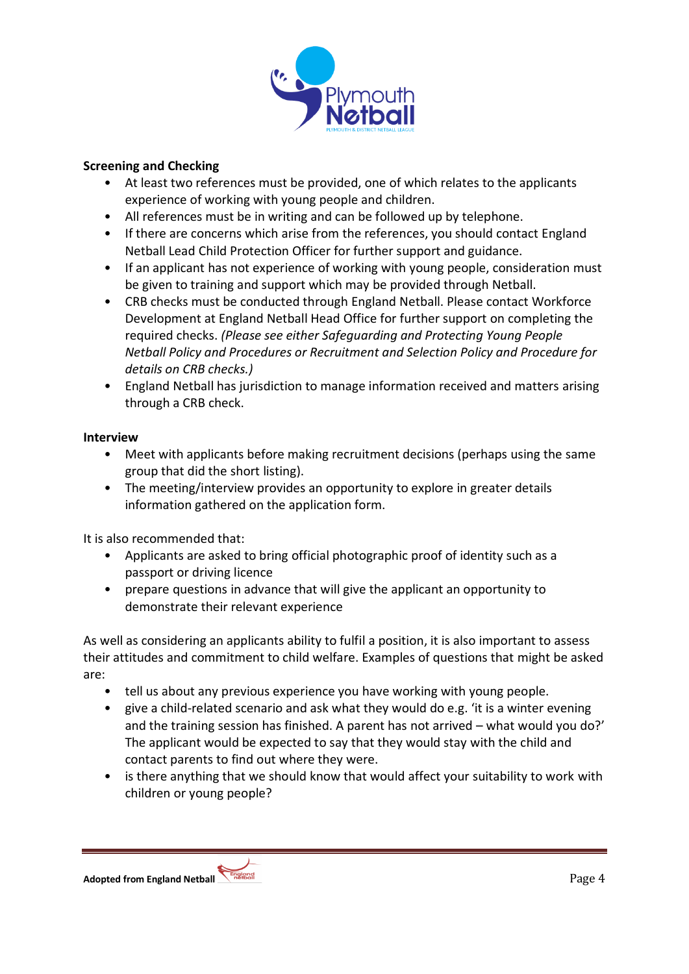

## **Screening and Checking**

- At least two references must be provided, one of which relates to the applicants experience of working with young people and children.
- All references must be in writing and can be followed up by telephone.
- If there are concerns which arise from the references, you should contact England Netball Lead Child Protection Officer for further support and guidance.
- If an applicant has not experience of working with young people, consideration must be given to training and support which may be provided through Netball.
- CRB checks must be conducted through England Netball. Please contact Workforce Development at England Netball Head Office for further support on completing the required checks. *(Please see either Safeguarding and Protecting Young People Netball Policy and Procedures or Recruitment and Selection Policy and Procedure for details on CRB checks.)*
- England Netball has jurisdiction to manage information received and matters arising through a CRB check.

#### **Interview**

- Meet with applicants before making recruitment decisions (perhaps using the same group that did the short listing).
- The meeting/interview provides an opportunity to explore in greater details information gathered on the application form.

It is also recommended that:

- Applicants are asked to bring official photographic proof of identity such as a passport or driving licence
- prepare questions in advance that will give the applicant an opportunity to demonstrate their relevant experience

As well as considering an applicants ability to fulfil a position, it is also important to assess their attitudes and commitment to child welfare. Examples of questions that might be asked are:

- tell us about any previous experience you have working with young people.
- give a child-related scenario and ask what they would do e.g. 'it is a winter evening and the training session has finished. A parent has not arrived – what would you do?' The applicant would be expected to say that they would stay with the child and contact parents to find out where they were.
- is there anything that we should know that would affect your suitability to work with children or young people?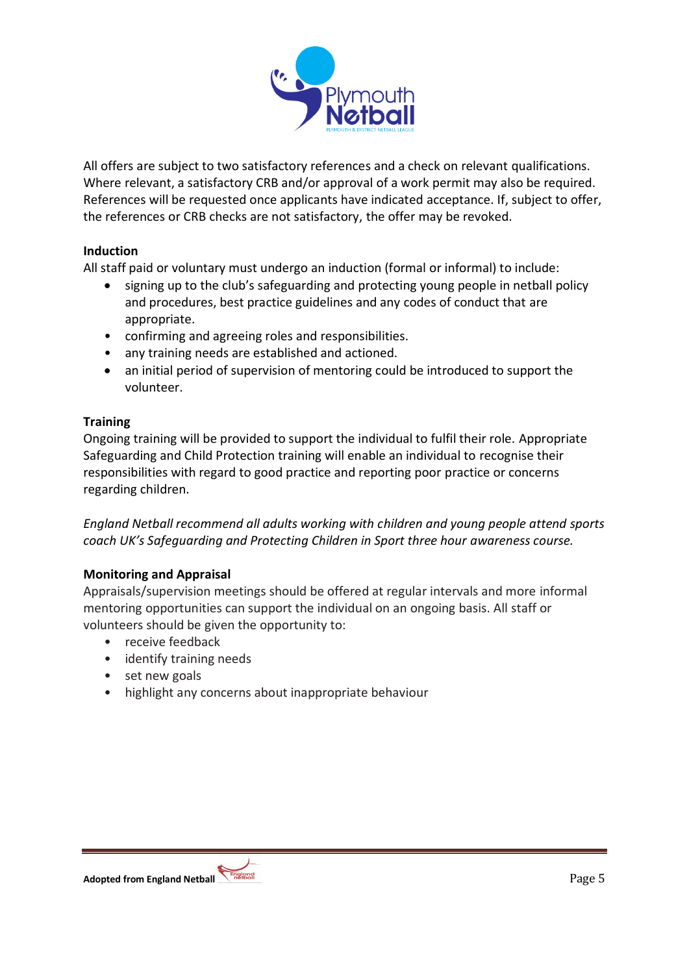

All offers are subject to two satisfactory references and a check on relevant qualifications. Where relevant, a satisfactory CRB and/or approval of a work permit may also be required. References will be requested once applicants have indicated acceptance. If, subject to offer, the references or CRB checks are not satisfactory, the offer may be revoked.

## **Induction**

All staff paid or voluntary must undergo an induction (formal or informal) to include:

- signing up to the club's safeguarding and protecting young people in netball policy and procedures, best practice guidelines and any codes of conduct that are appropriate.
- confirming and agreeing roles and responsibilities.
- any training needs are established and actioned.
- an initial period of supervision of mentoring could be introduced to support the volunteer.

## **Training**

Ongoing training will be provided to support the individual to fulfil their role. Appropriate Safeguarding and Child Protection training will enable an individual to recognise their responsibilities with regard to good practice and reporting poor practice or concerns regarding children.

*England Netball recommend all adults working with children and young people attend sports coach UK's Safeguarding and Protecting Children in Sport three hour awareness course.*

#### **Monitoring and Appraisal**

Appraisals/supervision meetings should be offered at regular intervals and more informal mentoring opportunities can support the individual on an ongoing basis. All staff or volunteers should be given the opportunity to:

- receive feedback
- identify training needs
- set new goals
- highlight any concerns about inappropriate behaviour